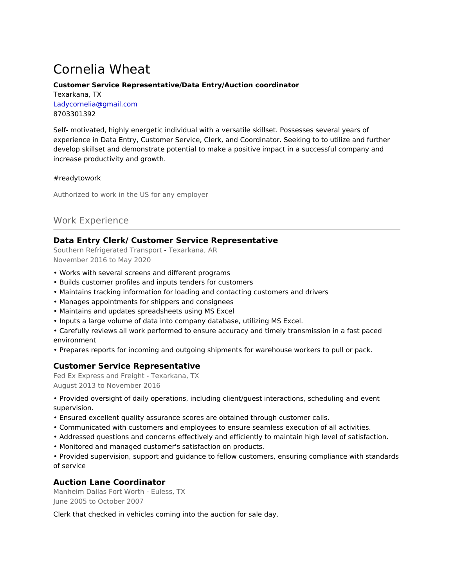# Cornelia Wheat

### **Customer Service Representative/Data Entry/Auction coordinator**

Texarkana, TX Ladycornelia@gmail.com 8703301392

Self- motivated, highly energetic individual with a versatile skillset. Possesses several years of experience in Data Entry, Customer Service, Clerk, and Coordinator. Seeking to to utilize and further develop skillset and demonstrate potential to make a positive impact in a successful company and increase productivity and growth.

### #readytowork

Authorized to work in the US for any employer

## Work Experience

## **Data Entry Clerk/ Customer Service Representative**

Southern Refrigerated Transport - Texarkana, AR November 2016 to May 2020

- Works with several screens and different programs
- Builds customer profiles and inputs tenders for customers
- Maintains tracking information for loading and contacting customers and drivers
- Manages appointments for shippers and consignees
- Maintains and updates spreadsheets using MS Excel
- Inputs a large volume of data into company database, utilizing MS Excel.
- Carefully reviews all work performed to ensure accuracy and timely transmission in a fast paced environment
- Prepares reports for incoming and outgoing shipments for warehouse workers to pull or pack.

### **Customer Service Representative**

Fed Ex Express and Freight - Texarkana, TX August 2013 to November 2016

• Provided oversight of daily operations, including client/guest interactions, scheduling and event supervision.

- Ensured excellent quality assurance scores are obtained through customer calls.
- Communicated with customers and employees to ensure seamless execution of all activities.
- Addressed questions and concerns effectively and efficiently to maintain high level of satisfaction.
- Monitored and managed customer's satisfaction on products.

• Provided supervision, support and guidance to fellow customers, ensuring compliance with standards of service

## **Auction Lane Coordinator**

Manheim Dallas Fort Worth - Euless, TX June 2005 to October 2007

Clerk that checked in vehicles coming into the auction for sale day.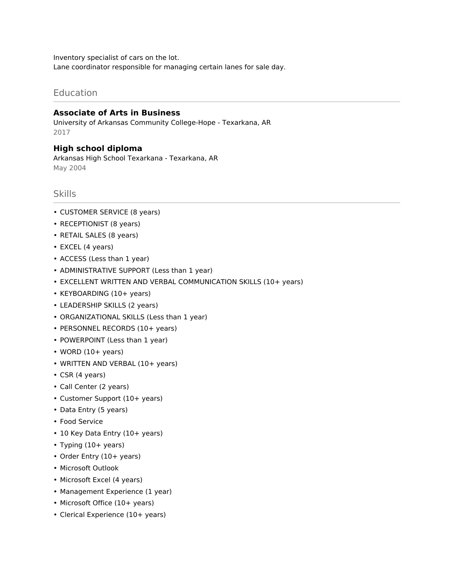Inventory specialist of cars on the lot. Lane coordinator responsible for managing certain lanes for sale day.

## Education

## **Associate of Arts in Business**

University of Arkansas Community College-Hope - Texarkana, AR 2017

### **High school diploma**

Arkansas High School Texarkana - Texarkana, AR May 2004

## Skills

- CUSTOMER SERVICE (8 years)
- RECEPTIONIST (8 years)
- RETAIL SALES (8 years)
- EXCEL (4 years)
- ACCESS (Less than 1 year)
- ADMINISTRATIVE SUPPORT (Less than 1 year)
- EXCELLENT WRITTEN AND VERBAL COMMUNICATION SKILLS (10+ years)
- KEYBOARDING (10+ years)
- LEADERSHIP SKILLS (2 years)
- ORGANIZATIONAL SKILLS (Less than 1 year)
- PERSONNEL RECORDS (10+ years)
- POWERPOINT (Less than 1 year)
- $\cdot$  WORD (10+ years)
- WRITTEN AND VERBAL (10+ years)
- CSR (4 years)
- Call Center (2 years)
- Customer Support (10+ years)
- Data Entry (5 years)
- Food Service
- 10 Key Data Entry (10+ years)
- Typing (10+ years)
- Order Entry (10+ years)
- Microsoft Outlook
- Microsoft Excel (4 years)
- Management Experience (1 year)
- Microsoft Office (10+ years)
- Clerical Experience (10+ years)